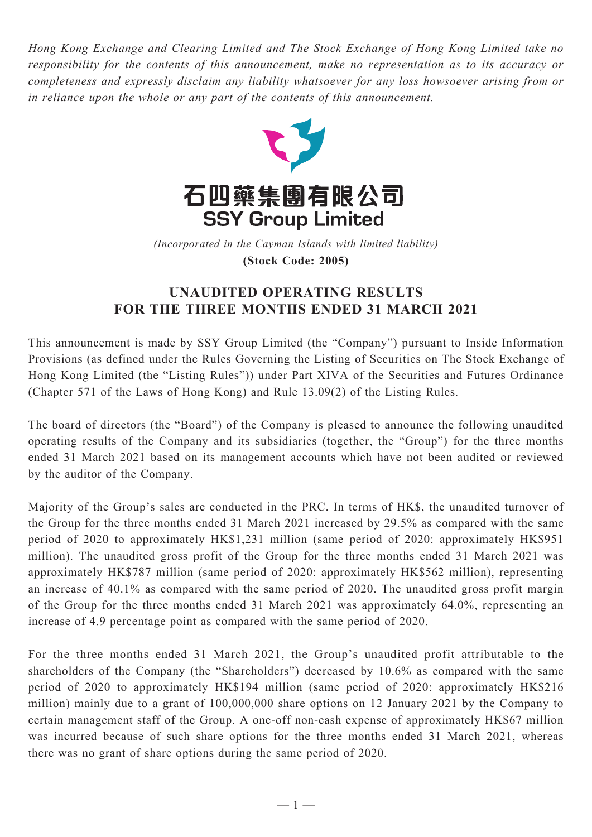*Hong Kong Exchange and Clearing Limited and The Stock Exchange of Hong Kong Limited take no responsibility for the contents of this announcement, make no representation as to its accuracy or completeness and expressly disclaim any liability whatsoever for any loss howsoever arising from or in reliance upon the whole or any part of the contents of this announcement.*



(Incorporated in the Cayman Islands with limited liability) **(Stock Code: 2005)** *(Incorporated in the Cayman Islands with limited liability)* **(Stock Code: 2005)**

## **UNAUDITED OPERATING RESULTS FOR THE THREE MONTHS ENDED 31 MARCH 2021**

This announcement is made by SSY Group Limited (the "Company") pursuant to Inside Information Provisions (as defined under the Rules Governing the Listing of Securities on The Stock Exchange of Hong Kong Limited (the "Listing Rules")) under Part XIVA of the Securities and Futures Ordinance (Chapter 571 of the Laws of Hong Kong) and Rule 13.09(2) of the Listing Rules.

The board of directors (the "Board") of the Company is pleased to announce the following unaudited operating results of the Company and its subsidiaries (together, the "Group") for the three months ended 31 March 2021 based on its management accounts which have not been audited or reviewed by the auditor of the Company.

Majority of the Group's sales are conducted in the PRC. In terms of HK\$, the unaudited turnover of the Group for the three months ended 31 March 2021 increased by 29.5% as compared with the same period of 2020 to approximately HK\$1,231 million (same period of 2020: approximately HK\$951 million). The unaudited gross profit of the Group for the three months ended 31 March 2021 was approximately HK\$787 million (same period of 2020: approximately HK\$562 million), representing an increase of 40.1% as compared with the same period of 2020. The unaudited gross profit margin of the Group for the three months ended 31 March 2021 was approximately 64.0%, representing an increase of 4.9 percentage point as compared with the same period of 2020.

For the three months ended 31 March 2021, the Group's unaudited profit attributable to the shareholders of the Company (the "Shareholders") decreased by 10.6% as compared with the same period of 2020 to approximately HK\$194 million (same period of 2020: approximately HK\$216 million) mainly due to a grant of 100,000,000 share options on 12 January 2021 by the Company to certain management staff of the Group. A one-off non-cash expense of approximately HK\$67 million was incurred because of such share options for the three months ended 31 March 2021, whereas there was no grant of share options during the same period of 2020.